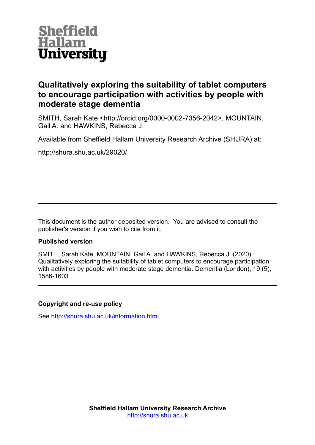

## **Qualitatively exploring the suitability of tablet computers to encourage participation with activities by people with moderate stage dementia**

SMITH, Sarah Kate <http://orcid.org/0000-0002-7356-2042>, MOUNTAIN, Gail A. and HAWKINS, Rebecca J.

Available from Sheffield Hallam University Research Archive (SHURA) at:

http://shura.shu.ac.uk/29020/

This document is the author deposited version. You are advised to consult the publisher's version if you wish to cite from it.

## **Published version**

SMITH, Sarah Kate, MOUNTAIN, Gail A. and HAWKINS, Rebecca J. (2020). Qualitatively exploring the suitability of tablet computers to encourage participation with activities by people with moderate stage dementia. Dementia (London), 19 (5), 1586-1603.

## **Copyright and re-use policy**

See<http://shura.shu.ac.uk/information.html>